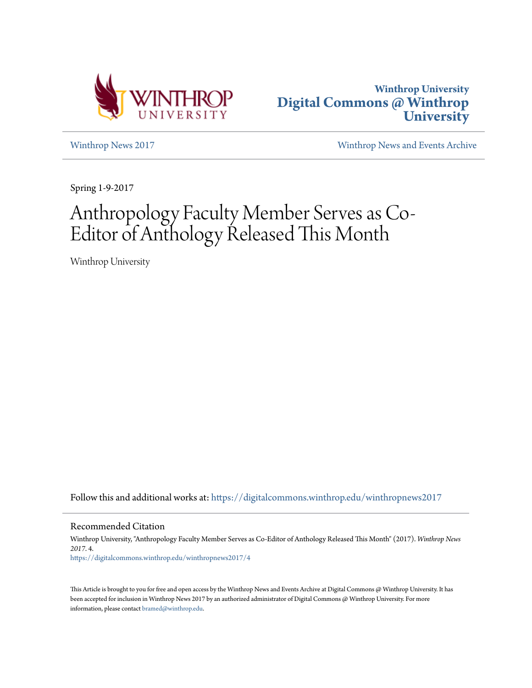



[Winthrop News 2017](https://digitalcommons.winthrop.edu/winthropnews2017?utm_source=digitalcommons.winthrop.edu%2Fwinthropnews2017%2F4&utm_medium=PDF&utm_campaign=PDFCoverPages) [Winthrop News and Events Archive](https://digitalcommons.winthrop.edu/winthropnewsarchives?utm_source=digitalcommons.winthrop.edu%2Fwinthropnews2017%2F4&utm_medium=PDF&utm_campaign=PDFCoverPages)

Spring 1-9-2017

## Anthropology Faculty Member Serves as Co-Editor of Anthology Released This Month

Winthrop University

Follow this and additional works at: [https://digitalcommons.winthrop.edu/winthropnews2017](https://digitalcommons.winthrop.edu/winthropnews2017?utm_source=digitalcommons.winthrop.edu%2Fwinthropnews2017%2F4&utm_medium=PDF&utm_campaign=PDFCoverPages)

Recommended Citation

Winthrop University, "Anthropology Faculty Member Serves as Co-Editor of Anthology Released This Month" (2017). *Winthrop News 2017*. 4. [https://digitalcommons.winthrop.edu/winthropnews2017/4](https://digitalcommons.winthrop.edu/winthropnews2017/4?utm_source=digitalcommons.winthrop.edu%2Fwinthropnews2017%2F4&utm_medium=PDF&utm_campaign=PDFCoverPages)

This Article is brought to you for free and open access by the Winthrop News and Events Archive at Digital Commons @ Winthrop University. It has been accepted for inclusion in Winthrop News 2017 by an authorized administrator of Digital Commons @ Winthrop University. For more information, please contact [bramed@winthrop.edu](mailto:bramed@winthrop.edu).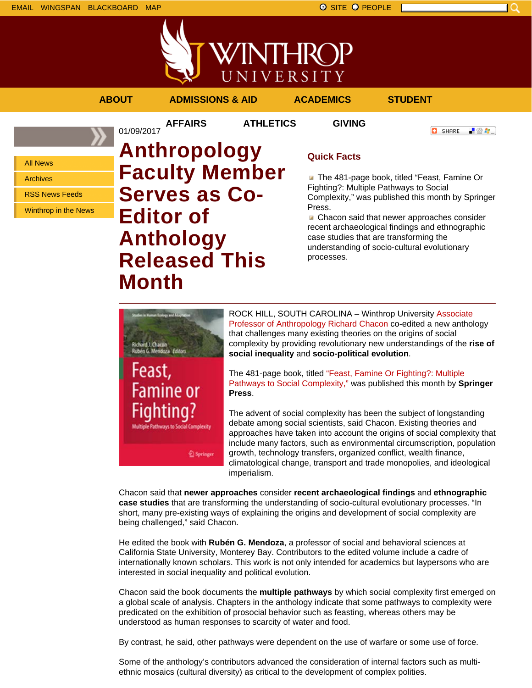WINTHROP UNIVERSITY

## **ABOUT ADMISSIONS & AID ACADEMICS STUDENT**

01/09/2017

**AFFAIRS ATHLETICS GIVING**

**C** SHARE 上没有。

All News

Archives

RSS News Feeds

Winthrop in the News

**Anthropology Faculty Member Serves as Co-Editor of Anthology Released This Month**

## **Quick Facts**

**The 481-page book, titled "Feast, Famine Or** Fighting?: Multiple Pathways to Social Complexity," was published this month by Springer Press.

Chacon said that newer approaches consider recent archaeological findings and ethnographic case studies that are transforming the understanding of socio-cultural evolutionary processes.

Feast, **Famine or** Fighting? Springer

ROCK HILL, SOUTH CAROLINA – Winthrop University Associate Professor of Anthropology Richard Chacon co-edited a new anthology that challenges many existing theories on the origins of social complexity by providing revolutionary new understandings of the **rise of social inequality** and **socio-political evolution**.

The 481-page book, titled "Feast, Famine Or Fighting?: Multiple Pathways to Social Complexity," was published this month by **Springer Press**.

The advent of social complexity has been the subject of longstanding debate among social scientists, said Chacon. Existing theories and approaches have taken into account the origins of social complexity that include many factors, such as environmental circumscription, population growth, technology transfers, organized conflict, wealth finance, climatological change, transport and trade monopolies, and ideological imperialism.

Chacon said that **newer approaches** consider **recent archaeological findings** and **ethnographic case studies** that are transforming the understanding of socio-cultural evolutionary processes. "In short, many pre-existing ways of explaining the origins and development of social complexity are being challenged," said Chacon.

He edited the book with **Rubén G. Mendoza**, a professor of social and behavioral sciences at California State University, Monterey Bay. Contributors to the edited volume include a cadre of internationally known scholars. This work is not only intended for academics but laypersons who are interested in social inequality and political evolution.

Chacon said the book documents the **multiple pathways** by which social complexity first emerged on a global scale of analysis. Chapters in the anthology indicate that some pathways to complexity were predicated on the exhibition of prosocial behavior such as feasting, whereas others may be understood as human responses to scarcity of water and food.

By contrast, he said, other pathways were dependent on the use of warfare or some use of force.

Some of the anthology's contributors advanced the consideration of internal factors such as multiethnic mosaics (cultural diversity) as critical to the development of complex polities.